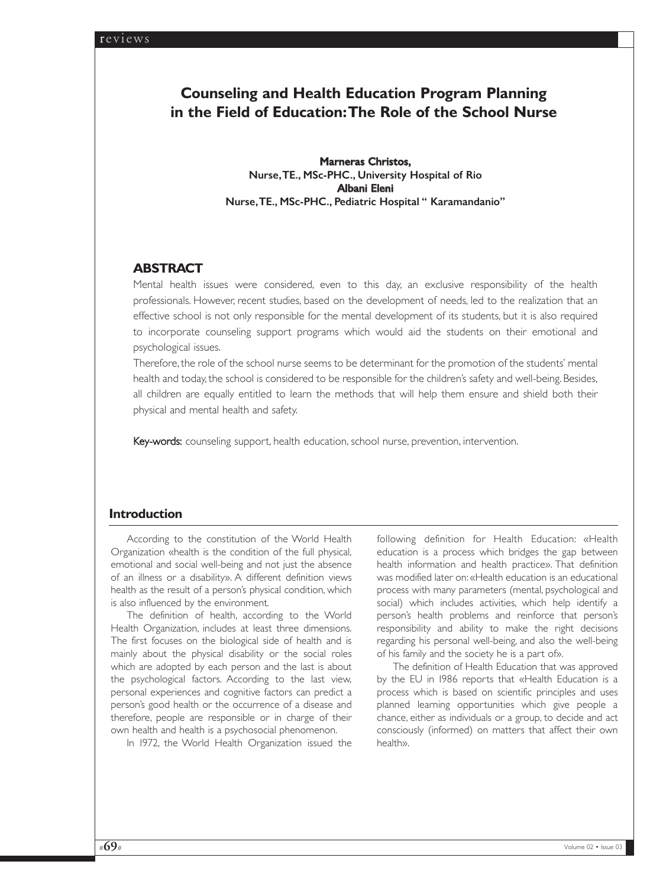# **Counseling and Health Education Program Planning in the Field of Education:The Role of the School Nurse**

Marneras Christos, Nurse,TE., MSc-PHC., University Hospital of Rio Albani Eleni Nurse,TE., MSc-PHC., Pediatric Hospital " Karamandanio"

# **ABSTRACT**

Mental health issues were considered, even to this day, an exclusive responsibility of the health professionals. However, recent studies, based on the development of needs, led to the realization that an effective school is not only responsible for the mental development of its students, but it is also required to incorporate counseling support programs which would aid the students on their emotional and psychological issues.

Therefore, the role of the school nurse seems to be determinant for the promotion of the students' mental health and today,the school is considered to be responsible for the children's safety and well-being. Besides, all children are equally entitled to learn the methods that will help them ensure and shield both their physical and mental health and safety.

Key-words: counseling support, health education, school nurse, prevention, intervention.

## **Introduction**

According to the constitution of the World Health Organization «health is the condition of the full physical, emotional and social well-being and not just the absence of an illness or a disability». A different definition views health as the result of a person's physical condition, which is also influenced by the environment.

The definition of health, according to the World Health Organization, includes at least three dimensions. The first focuses on the biological side of health and is mainly about the physical disability or the social roles which are adopted by each person and the last is about the psychological factors. According to the last view, personal experiences and cognitive factors can predict a person's good health or the occurrence of a disease and therefore, people are responsible or in charge of their own health and health is a psychosocial phenomenon.

In 1972, the World Health Organization issued the

following definition for Health Education: «Health education is a process which bridges the gap between health information and health practice». That definition was modified later on: «Health education is an educational process with many parameters (mental, psychological and social) which includes activities, which help identify a person's health problems and reinforce that person's responsibility and ability to make the right decisions regarding his personal well-being, and also the well-being of his family and the society he is a part of».

The definition of Health Education that was approved by the EU in 1986 reports that «Health Education is a process which is based on scientific principles and uses planned learning opportunities which give people a chance, either as individuals or a group, to decide and act consciously (informed) on matters that affect their own health».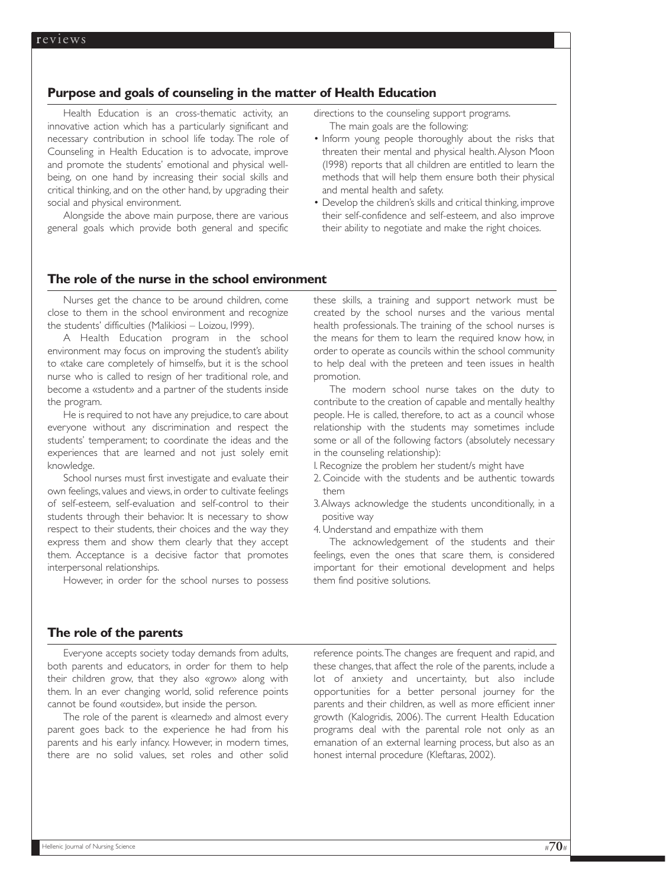## **Purpose and goals of counseling in the matter of Health Education**

Health Education is an cross-thematic activity, an innovative action which has a particularly significant and necessary contribution in school life today. The role of Counseling in Health Education is to advocate, improve and promote the students' emotional and physical wellbeing, on one hand by increasing their social skills and critical thinking, and on the other hand, by upgrading their social and physical environment.

Alongside the above main purpose, there are various general goals which provide both general and specific directions to the counseling support programs. The main goals are the following:

- Inform young people thoroughly about the risks that threaten their mental and physical health.Alyson Moon (1998) reports that all children are entitled to learn the methods that will help them ensure both their physical and mental health and safety.
- Develop the children's skills and critical thinking, improve their self-confidence and self-esteem, and also improve their ability to negotiate and make the right choices.

## **The role of the nurse in the school environment**

Nurses get the chance to be around children, come close to them in the school environment and recognize the students' difficulties (Malikiosi – Loizou, 1999).

A Health Education program in the school environment may focus on improving the student's ability to «take care completely of himself», but it is the school nurse who is called to resign of her traditional role, and become a «student» and a partner of the students inside the program.

He is required to not have any prejudice, to care about everyone without any discrimination and respect the students' temperament; to coordinate the ideas and the experiences that are learned and not just solely emit knowledge.

School nurses must first investigate and evaluate their own feelings, values and views, in order to cultivate feelings of self-esteem, self-evaluation and self-control to their students through their behavior. It is necessary to show respect to their students, their choices and the way they express them and show them clearly that they accept them. Acceptance is a decisive factor that promotes interpersonal relationships.

However, in order for the school nurses to possess

these skills, a training and support network must be created by the school nurses and the various mental health professionals. The training of the school nurses is the means for them to learn the required know how, in order to operate as councils within the school community to help deal with the preteen and teen issues in health promotion.

The modern school nurse takes on the duty to contribute to the creation of capable and mentally healthy people. He is called, therefore, to act as a council whose relationship with the students may sometimes include some or all of the following factors (absolutely necessary in the counseling relationship):

1. Recognize the problem her student/s might have

- 2. Coincide with the students and be authentic towards them
- 3.Always acknowledge the students unconditionally, in a positive way
- 4. Understand and empathize with them

The acknowledgement of the students and their feelings, even the ones that scare them, is considered important for their emotional development and helps them find positive solutions.

### **The role of the parents**

Everyone accepts society today demands from adults, both parents and educators, in order for them to help their children grow, that they also «grow» along with them. In an ever changing world, solid reference points cannot be found «outside», but inside the person.

The role of the parent is «learned» and almost every parent goes back to the experience he had from his parents and his early infancy. However, in modern times, there are no solid values, set roles and other solid reference points.The changes are frequent and rapid, and these changes, that affect the role of the parents, include a lot of anxiety and uncertainty, but also include opportunities for a better personal journey for the parents and their children, as well as more efficient inner growth (Kalogridis, 2006). The current Health Education programs deal with the parental role not only as an emanation of an external learning process, but also as an honest internal procedure (Kleftaras, 2002).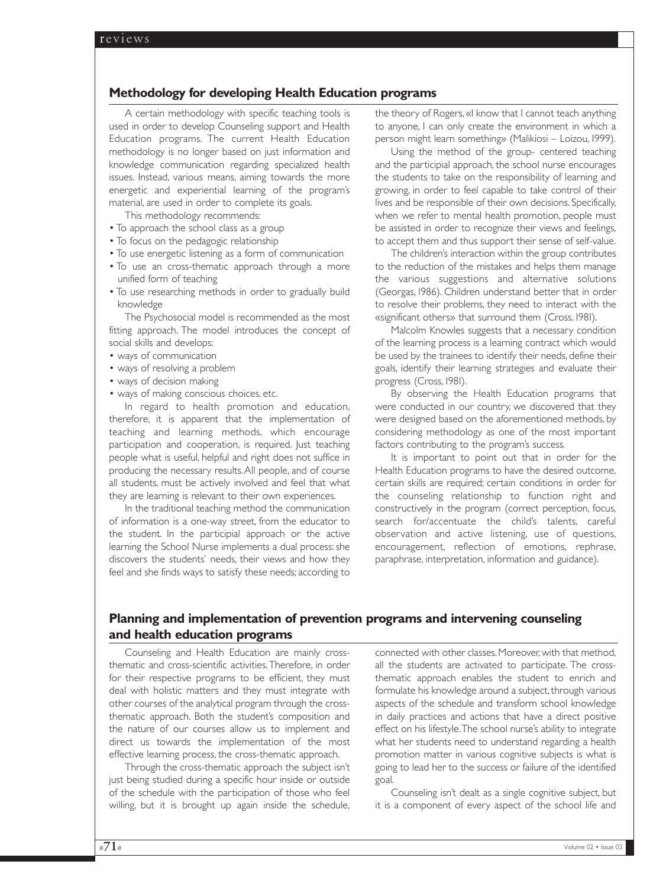## **Methodology for developing Health Education programs**

A certain methodology with specific teaching tools is used in order to develop Counseling support and Health Education programs. The current Health Education methodology is no longer based on just information and knowledge communication regarding specialized health issues. Instead, various means, aiming towards the more energetic and experiential learning of the program's material, are used in order to complete its goals.

This methodology recommends:

- To approach the school class as a group
- To focus on the pedagogic relationship
- To use energetic listening as a form of communication
- To use an cross-thematic approach through a more unified form of teaching
- To use researching methods in order to gradually build knowledge

The Psychosocial model is recommended as the most fitting approach. The model introduces the concept of social skills and develops:

- ways of communication
- ways of resolving a problem
- ways of decision making
- ways of making conscious choices, etc.

In regard to health promotion and education, therefore, it is apparent that the implementation of teaching and learning methods, which encourage participation and cooperation, is required. Just teaching people what is useful, helpful and right does not suffice in producing the necessary results.All people, and of course all students, must be actively involved and feel that what they are learning is relevant to their own experiences.

In the traditional teaching method the communication of information is a one-way street, from the educator to the student. In the participial approach or the active learning the School Nurse implements a dual process: she discovers the students' needs, their views and how they feel and she finds ways to satisfy these needs; according to

the theory of Rogers, «I know that I cannot teach anything to anyone, I can only create the environment in which a person might learn something» (Malikiosi – Loizou, 1999).

Using the method of the group- centered teaching and the participial approach, the school nurse encourages the students to take on the responsibility of learning and growing, in order to feel capable to take control of their lives and be responsible of their own decisions. Specifically, when we refer to mental health promotion, people must be assisted in order to recognize their views and feelings, to accept them and thus support their sense of self-value.

The children's interaction within the group contributes to the reduction of the mistakes and helps them manage the various suggestions and alternative solutions (Georgas, 1986). Children understand better that in order to resolve their problems, they need to interact with the «significant others» that surround them (Cross, 1981).

Malcolm Knowles suggests that a necessary condition of the learning process is a learning contract which would be used by the trainees to identify their needs, define their goals, identify their learning strategies and evaluate their progress (Cross, 1981).

By observing the Health Education programs that were conducted in our country, we discovered that they were designed based on the aforementioned methods, by considering methodology as one of the most important factors contributing to the program's success.

It is important to point out that in order for the Health Education programs to have the desired outcome, certain skills are required; certain conditions in order for the counseling relationship to function right and constructively in the program (correct perception, focus, search for/accentuate the child's talents, careful observation and active listening, use of questions, encouragement, reflection of emotions, rephrase, paraphrase, interpretation, information and guidance).

# **Planning and implementation of prevention programs and intervening counseling and health education programs**

Counseling and Health Education are mainly crossthematic and cross-scientific activities.Therefore, in order for their respective programs to be efficient, they must deal with holistic matters and they must integrate with other courses of the analytical program through the crossthematic approach. Both the student's composition and the nature of our courses allow us to implement and direct us towards the implementation of the most effective learning process, the cross-thematic approach.

Through the cross-thematic approach the subject isn't just being studied during a specific hour inside or outside of the schedule with the participation of those who feel willing, but it is brought up again inside the schedule, connected with other classes.Moreover,with that method, all the students are activated to participate. The crossthematic approach enables the student to enrich and formulate his knowledge around a subject, through various aspects of the schedule and transform school knowledge in daily practices and actions that have a direct positive effect on his lifestyle.The school nurse's ability to integrate what her students need to understand regarding a health promotion matter in various cognitive subjects is what is going to lead her to the success or failure of the identified goal.

Counseling isn't dealt as a single cognitive subject, but it is a component of every aspect of the school life and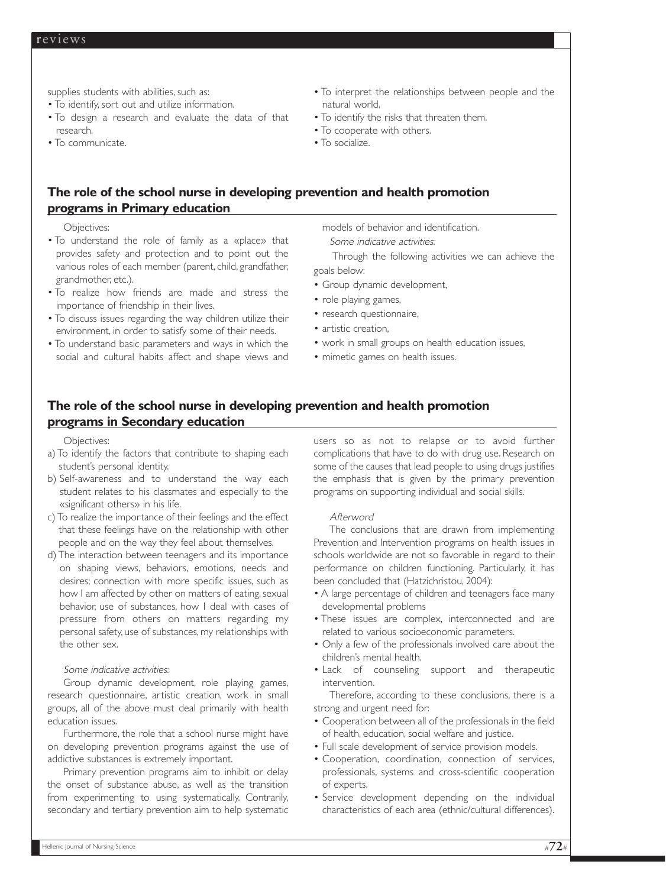supplies students with abilities, such as:

• To identify, sort out and utilize information.

- To design a research and evaluate the data of that research.
- To communicate.
- To interpret the relationships between people and the natural world.
- To identify the risks that threaten them.
- To cooperate with others.
- To socialize.

# **The role of the school nurse in developing prevention and health promotion programs in Primary education**

Objectives:

- To understand the role of family as a «place» that provides safety and protection and to point out the various roles of each member (parent, child, grandfather, grandmother, etc.).
- To realize how friends are made and stress the importance of friendship in their lives.
- To discuss issues regarding the way children utilize their environment, in order to satisfy some of their needs.
- To understand basic parameters and ways in which the social and cultural habits affect and shape views and

models of behavior and identification.

Some indicative activities:

Through the following activities we can achieve the goals below:

- Group dynamic development,
- role playing games,
- research questionnaire,
- artistic creation,
- work in small groups on health education issues,
- mimetic games on health issues.

# **The role of the school nurse in developing prevention and health promotion programs in Secondary education**

### Objectives:

- a) To identify the factors that contribute to shaping each student's personal identity.
- b) Self-awareness and to understand the way each student relates to his classmates and especially to the «significant others» in his life.
- c) To realize the importance of their feelings and the effect that these feelings have on the relationship with other people and on the way they feel about themselves.
- d) The interaction between teenagers and its importance on shaping views, behaviors, emotions, needs and desires; connection with more specific issues, such as how I am affected by other on matters of eating, sexual behavior, use of substances, how I deal with cases of pressure from others on matters regarding my personal safety, use of substances, my relationships with the other sex.

## Some indicative activities:

Group dynamic development, role playing games, research questionnaire, artistic creation, work in small groups, all of the above must deal primarily with health education issues.

Furthermore, the role that a school nurse might have on developing prevention programs against the use of addictive substances is extremely important.

Primary prevention programs aim to inhibit or delay the onset of substance abuse, as well as the transition from experimenting to using systematically. Contrarily, secondary and tertiary prevention aim to help systematic

users so as not to relapse or to avoid further complications that have to do with drug use. Research on some of the causes that lead people to using drugs justifies the emphasis that is given by the primary prevention programs on supporting individual and social skills.

### Afterword

The conclusions that are drawn from implementing Prevention and Intervention programs on health issues in schools worldwide are not so favorable in regard to their performance on children functioning. Particularly, it has been concluded that (Hatzichristou, 2004):

- A large percentage of children and teenagers face many developmental problems
- These issues are complex, interconnected and are related to various socioeconomic parameters.
- Only a few of the professionals involved care about the children's mental health.
- Lack of counseling support and therapeutic intervention.

Therefore, according to these conclusions, there is a strong and urgent need for:

- Cooperation between all of the professionals in the field of health, education, social welfare and justice.
- Full scale development of service provision models.
- Cooperation, coordination, connection of services, professionals, systems and cross-scientific cooperation of experts.
- Service development depending on the individual characteristics of each area (ethnic/cultural differences).